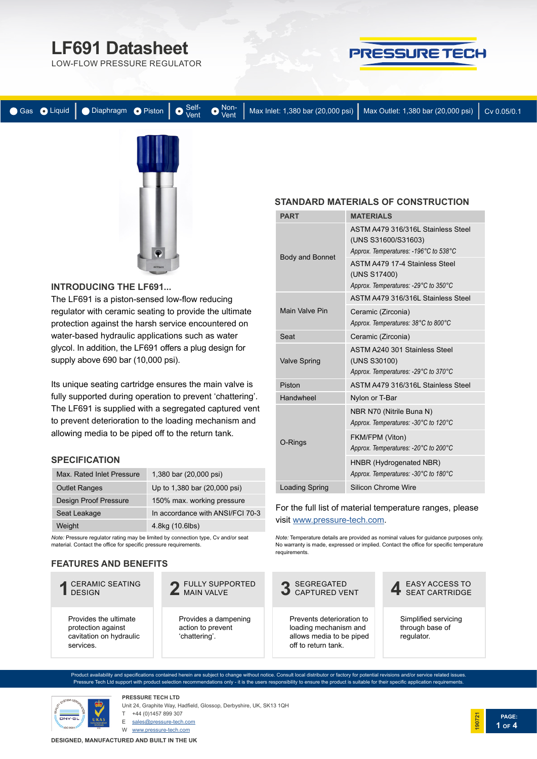# **[LF691 Datasheet](https://www.pressure-tech.com/?page=product&product=98&cat=2)**

LOW-FLOW PRESSURE REGULATOR



|  |  |  |  |  |  | ● Gas ● Liquid   ● Diaphragm ● Piston   ● Self- ● Non-   Max Inlet: 1,380 bar (20,000 psi)   Max Outlet: 1,380 bar (20,000 psi)   Cv 0.05/0.1 |  |
|--|--|--|--|--|--|-----------------------------------------------------------------------------------------------------------------------------------------------|--|
|--|--|--|--|--|--|-----------------------------------------------------------------------------------------------------------------------------------------------|--|



#### **INTRODUCING [THE LF691...](https://www.pressure-tech.com/?page=product&product=98&cat=2)**

The LF691 is a piston-sensed low-flow reducing regulator with ceramic seating to provide the ultimate protection against the harsh service encountered on water-based hydraulic applications such as water glycol. In addition, the LF691 offers a plug design for supply above 690 bar (10,000 psi).

Its unique seating cartridge ensures the main valve is fully supported during operation to prevent 'chattering'. The LF691 is supplied with a segregated captured vent to prevent deterioration to the loading mechanism and allowing media to be piped off to the return tank.

#### **SPECIFICATION**

| 1,380 bar (20,000 psi)           |
|----------------------------------|
| Up to 1,380 bar (20,000 psi)     |
| 150% max. working pressure       |
| In accordance with ANSI/FCI 70-3 |
| 4.8kg (10.6lbs)                  |
|                                  |

*Note:* Pressure regulator rating may be limited by connection type, Cv and/or seat material. Contact the office for specific pressure requirements.

#### **FEATURES AND BENEFITS**

# CERAMIC SEATING **1** DESIGN

Provides the ultimate protection against cavitation on hydraulic services.

FULLY SUPPORTED **2** MAIN VALVE

Provides a dampening action to prevent 'chattering'.

#### **STANDARD MATERIALS OF CONSTRUCTION**

| <b>PART</b>            | <b>MATERIALS</b>                                                                                   |
|------------------------|----------------------------------------------------------------------------------------------------|
|                        | ASTM A479 316/316L Stainless Steel<br>(UNS S31600/S31603)<br>Approx. Temperatures: -196°C to 538°C |
| <b>Body and Bonnet</b> | <b>ASTM A479 17-4 Stainless Steel</b><br>(UNS S17400)<br>Approx. Temperatures: -29°C to 350°C      |
|                        | ASTM A479 316/316L Stainless Steel                                                                 |
| Main Valve Pin         | Ceramic (Zirconia)<br>Approx. Temperatures: 38°C to 800°C                                          |
| Seat                   | Ceramic (Zirconia)                                                                                 |
| <b>Valve Spring</b>    | ASTM A240 301 Stainless Steel<br>(UNS S30100)<br>Approx. Temperatures: -29°C to 370°C              |
| Piston                 | ASTM A479 316/316L Stainless Steel                                                                 |
| Handwheel              | Nylon or T-Bar                                                                                     |
|                        | NBR N70 (Nitrile Buna N)<br>Approx. Temperatures: -30°C to 120°C                                   |
| O-Rings                | FKM/FPM (Viton)<br>Approx. Temperatures: -20°C to 200°C                                            |
|                        | HNBR (Hydrogenated NBR)<br>Approx. Temperatures: -30°C to 180°C                                    |
| <b>Loading Spring</b>  | <b>Silicon Chrome Wire</b>                                                                         |

#### For the full list of material temperature ranges, please visit [www.pressure-tech.com](http://www.pressure-tech.com/resources/49/material temperature range guide.pdf).

*Note:* Temperature details are provided as nominal values for guidance purposes only. No warranty is made, expressed or implied. Contact the office for specific temperature requirements.



Product availability and specifications contained herein are subject to change without notice. Consult local distributor or factory for potential revisions and/or service related issues. Pressure Tech Ltd support with product selection recommendations only - it is the users responsibility to ensure the product is suitable for their specific application requirements.



**PRESSURE TECH LTD** Unit 24, Graphite Way, Hadfield, Glossop, Derbyshire, UK, SK13 1QH +44 (0)1457 899 307

E sales@pressure-tech.com

W www.pressure-tech.com

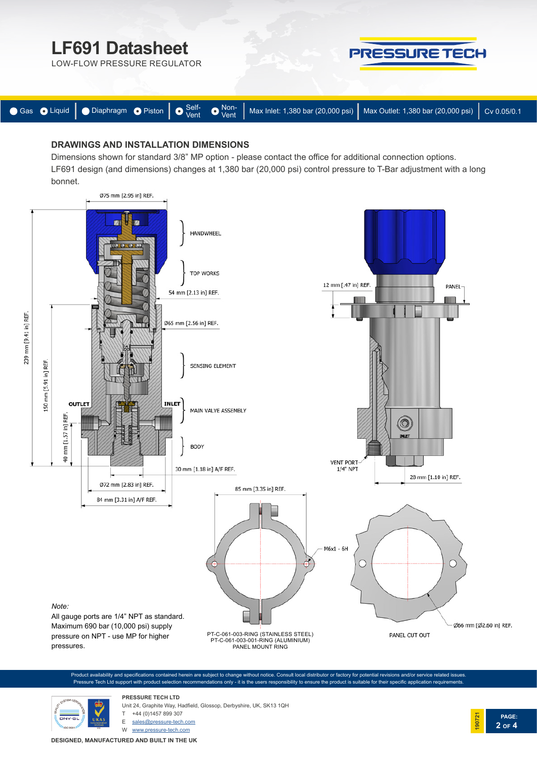

### **DRAWINGS AND INSTALLATION DIMENSIONS**

Dimensions shown for standard 3/8" MP option - please contact the office for additional connection options. LF691 design (and dimensions) changes at 1,380 bar (20,000 psi) control pressure to T-Bar adjustment with a long bonnet.



Product availability and specifications contained herein are subject to change without notice. Consult local distributor or factory for potential revisions and/or service related issues. Pressure Tech Ltd support with product selection recommendations only - it is the users responsibility to ensure the product is suitable for their specific application requirements.



**PRESSURE TECH LTD** Unit 24, Graphite Way, Hadfield, Glossop, Derbyshire, UK, SK13 1QH +44 (0)1457 899 307

E sales@pressure-tech.com

W www.pressure-tech.com

**DESIGNED, MANUFACTURED AND BUILT IN THE UK**

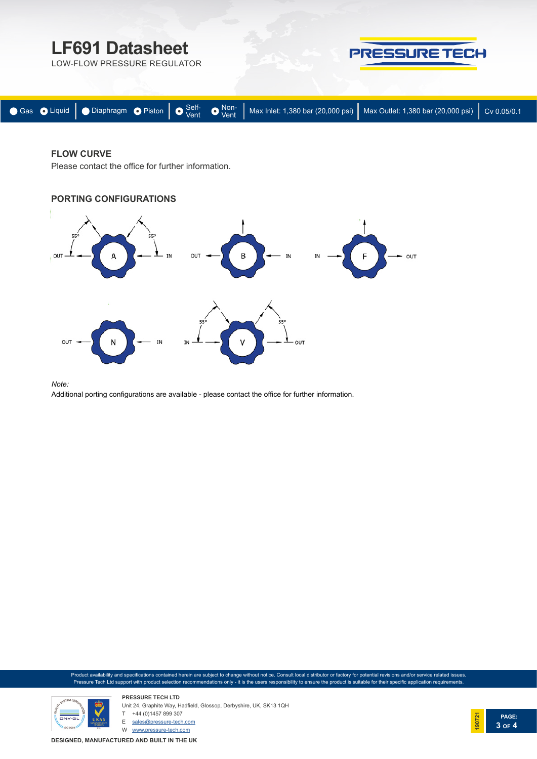

### **FLOW CURVE**

Please contact the office for further information.

## **PORTING CONFIGURATIONS**



*Note:* 

Additional porting configurations are available - please contact the office for further information.

Product availability and specifications contained herein are subject to change without notice. Consult local distributor or factory for potential revisions and/or service related issues. Pressure Tech Ltd support with product selection recommendations only - it is the users responsibility to ensure the product is suitable for their specific application requirements.



**PRESSURE TECH LTD** Unit 24, Graphite Way, Hadfield, Glossop, Derbyshire, UK, SK13 1QH T +44 (0)1457 899 307 E sales@pressure-tech.com

W www.pressure-tech.com